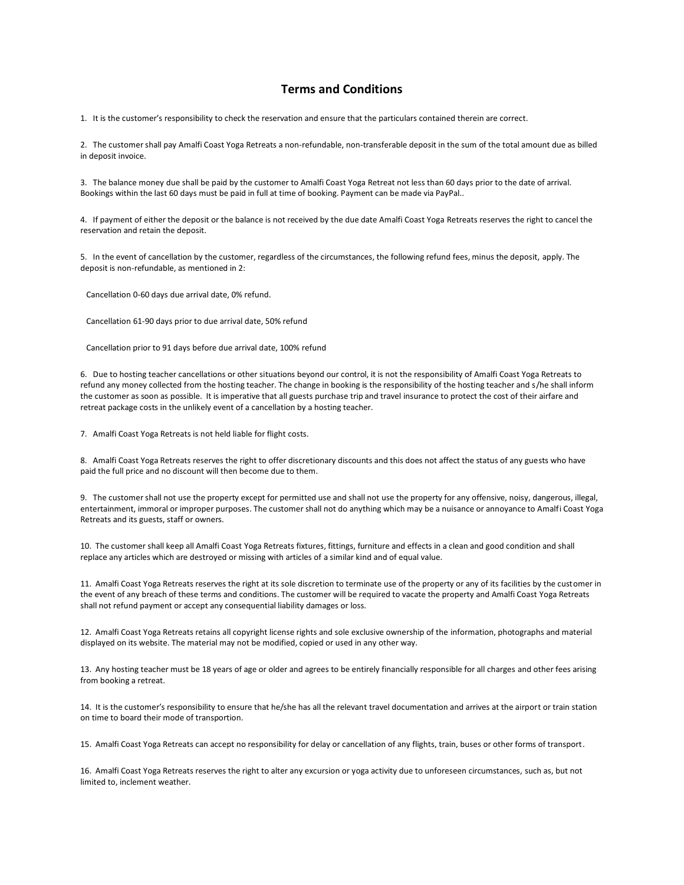## **Terms and Conditions**

1. It is the customer's responsibility to check the reservation and ensure that the particulars contained therein are correct.

2. The customer shall pay Amalfi Coast Yoga Retreats a non-refundable, non-transferable deposit in the sum of the total amount due as billed in deposit invoice.

3. The balance money due shall be paid by the customer to Amalfi Coast Yoga Retreat not less than 60 days prior to the date of arrival. Bookings within the last 60 days must be paid in full at time of booking. Payment can be made via PayPal..

4. If payment of either the deposit or the balance is not received by the due date Amalfi Coast Yoga Retreats reserves the right to cancel the reservation and retain the deposit.

5. In the event of cancellation by the customer, regardless of the circumstances, the following refund fees, minus the deposit, apply. The deposit is non-refundable, as mentioned in 2:

Cancellation 0-60 days due arrival date, 0% refund.

Cancellation 61-90 days prior to due arrival date, 50% refund

Cancellation prior to 91 days before due arrival date, 100% refund

6. Due to hosting teacher cancellations or other situations beyond our control, it is not the responsibility of Amalfi Coast Yoga Retreats to refund any money collected from the hosting teacher. The change in booking is the responsibility of the hosting teacher and s/he shall inform the customer as soon as possible. It is imperative that all guests purchase trip and travel insurance to protect the cost of their airfare and retreat package costs in the unlikely event of a cancellation by a hosting teacher.

7. Amalfi Coast Yoga Retreats is not held liable for flight costs.

8. Amalfi Coast Yoga Retreats reserves the right to offer discretionary discounts and this does not affect the status of any guests who have paid the full price and no discount will then become due to them.

9. The customer shall not use the property except for permitted use and shall not use the property for any offensive, noisy, dangerous, illegal, entertainment, immoral or improper purposes. The customer shall not do anything which may be a nuisance or annoyance to Amalfi Coast Yoga Retreats and its guests, staff or owners.

10. The customer shall keep all Amalfi Coast Yoga Retreats fixtures, fittings, furniture and effects in a clean and good condition and shall replace any articles which are destroyed or missing with articles of a similar kind and of equal value.

11. Amalfi Coast Yoga Retreats reserves the right at its sole discretion to terminate use of the property or any of its facilities by the customer in the event of any breach of these terms and conditions. The customer will be required to vacate the property and Amalfi Coast Yoga Retreats shall not refund payment or accept any consequential liability damages or loss.

12. Amalfi Coast Yoga Retreats retains all copyright license rights and sole exclusive ownership of the information, photographs and material displayed on its website. The material may not be modified, copied or used in any other way.

13. Any hosting teacher must be 18 years of age or older and agrees to be entirely financially responsible for all charges and other fees arising from booking a retreat.

14. It is the customer's responsibility to ensure that he/she has all the relevant travel documentation and arrives at the airport or train station on time to board their mode of transportion.

15. Amalfi Coast Yoga Retreats can accept no responsibility for delay or cancellation of any flights, train, buses or other forms of transport.

16. Amalfi Coast Yoga Retreats reserves the right to alter any excursion or yoga activity due to unforeseen circumstances, such as, but not limited to, inclement weather.